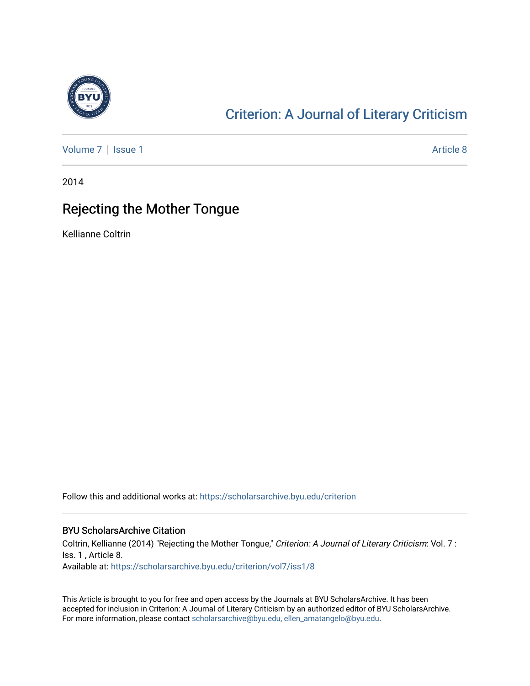

## [Criterion: A Journal of Literary Criticism](https://scholarsarchive.byu.edu/criterion)

[Volume 7](https://scholarsarchive.byu.edu/criterion/vol7) | [Issue 1](https://scholarsarchive.byu.edu/criterion/vol7/iss1) Article 8

2014

### Rejecting the Mother Tongue

Kellianne Coltrin

Follow this and additional works at: [https://scholarsarchive.byu.edu/criterion](https://scholarsarchive.byu.edu/criterion?utm_source=scholarsarchive.byu.edu%2Fcriterion%2Fvol7%2Fiss1%2F8&utm_medium=PDF&utm_campaign=PDFCoverPages) 

#### BYU ScholarsArchive Citation

Coltrin, Kellianne (2014) "Rejecting the Mother Tongue," Criterion: A Journal of Literary Criticism: Vol. 7 : Iss. 1 , Article 8. Available at: [https://scholarsarchive.byu.edu/criterion/vol7/iss1/8](https://scholarsarchive.byu.edu/criterion/vol7/iss1/8?utm_source=scholarsarchive.byu.edu%2Fcriterion%2Fvol7%2Fiss1%2F8&utm_medium=PDF&utm_campaign=PDFCoverPages) 

This Article is brought to you for free and open access by the Journals at BYU ScholarsArchive. It has been accepted for inclusion in Criterion: A Journal of Literary Criticism by an authorized editor of BYU ScholarsArchive. For more information, please contact [scholarsarchive@byu.edu, ellen\\_amatangelo@byu.edu](mailto:scholarsarchive@byu.edu,%20ellen_amatangelo@byu.edu).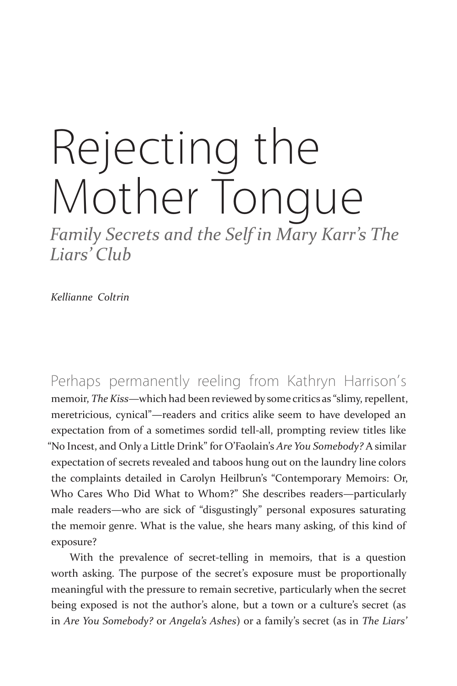# Rejecting the Mother Tongue

*Family Secrets and the Self in Mary Karr's The Liars' Club*

*Kellianne Coltrin*

Perhaps permanently reeling from Kathryn Harrison's memoir, *The Kiss*—which had been reviewed by some critics as "slimy, repellent, meretricious, cynical"—readers and critics alike seem to have developed an expectation from of a sometimes sordid tell-all, prompting review titles like "No Incest, and Only a Little Drink" for O'Faolain's *Are You Somebody?* A similar expectation of secrets revealed and taboos hung out on the laundry line colors the complaints detailed in Carolyn Heilbrun's "Contemporary Memoirs: Or, Who Cares Who Did What to Whom?" She describes readers—particularly male readers—who are sick of "disgustingly" personal exposures saturating the memoir genre. What is the value, she hears many asking, of this kind of exposure?

With the prevalence of secret-telling in memoirs, that is a question worth asking. The purpose of the secret's exposure must be proportionally meaningful with the pressure to remain secretive, particularly when the secret being exposed is not the author's alone, but a town or a culture's secret (as in *Are You Somebody?* or *Angela's Ashes*) or a family's secret (as in *The Liars'*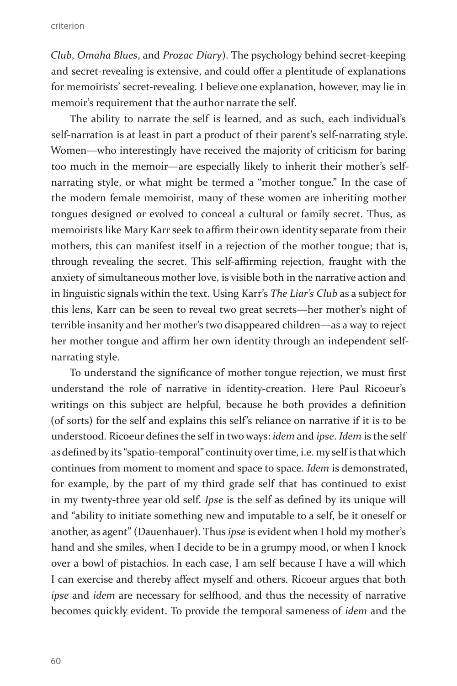*Club*, *Omaha Blues*, and *Prozac Diary*). The psychology behind secret-keeping and secret-revealing is extensive, and could offer a plentitude of explanations for memoirists' secret-revealing. I believe one explanation, however, may lie in memoir's requirement that the author narrate the self.

The ability to narrate the self is learned, and as such, each individual's self-narration is at least in part a product of their parent's self-narrating style. Women—who interestingly have received the majority of criticism for baring too much in the memoir—are especially likely to inherit their mother's selfnarrating style, or what might be termed a "mother tongue." In the case of the modern female memoirist, many of these women are inheriting mother tongues designed or evolved to conceal a cultural or family secret. Thus, as memoirists like Mary Karr seek to affirm their own identity separate from their mothers, this can manifest itself in a rejection of the mother tongue; that is, through revealing the secret. This self-affirming rejection, fraught with the anxiety of simultaneous mother love, is visible both in the narrative action and in linguistic signals within the text. Using Karr's *The Liar's Club* as a subject for this lens, Karr can be seen to reveal two great secrets—her mother's night of terrible insanity and her mother's two disappeared children—as a way to reject her mother tongue and affirm her own identity through an independent selfnarrating style.

To understand the significance of mother tongue rejection, we must first understand the role of narrative in identity-creation. Here Paul Ricoeur's writings on this subject are helpful, because he both provides a definition (of sorts) for the self and explains this self's reliance on narrative if it is to be understood. Ricoeur defines the self in two ways: *idem* and *ipse*. *Idem* is the self as defined by its "spatio-temporal" continuity over time, i.e. my self is that which continues from moment to moment and space to space. *Idem* is demonstrated, for example, by the part of my third grade self that has continued to exist in my twenty-three year old self. *Ipse* is the self as defined by its unique will and "ability to initiate something new and imputable to a self, be it oneself or another, as agent" (Dauenhauer). Thus *ipse* is evident when I hold my mother's hand and she smiles, when I decide to be in a grumpy mood, or when I knock over a bowl of pistachios. In each case, I am self because I have a will which I can exercise and thereby affect myself and others. Ricoeur argues that both *ipse* and *idem* are necessary for selfhood, and thus the necessity of narrative becomes quickly evident. To provide the temporal sameness of *idem* and the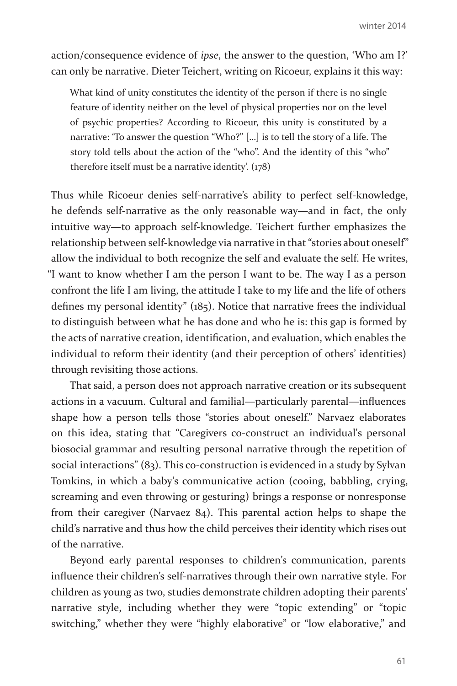action/consequence evidence of *ipse*, the answer to the question, 'Who am I?' can only be narrative. Dieter Teichert, writing on Ricoeur, explains it this way:

What kind of unity constitutes the identity of the person if there is no single feature of identity neither on the level of physical properties nor on the level of psychic properties? According to Ricoeur, this unity is constituted by a narrative: 'To answer the question "Who?" […] is to tell the story of a life. The story told tells about the action of the "who". And the identity of this "who" therefore itself must be a narrative identity'. (178)

Thus while Ricoeur denies self-narrative's ability to perfect self-knowledge, he defends self-narrative as the only reasonable way—and in fact, the only intuitive way—to approach self-knowledge. Teichert further emphasizes the relationship between self-knowledge via narrative in that "stories about oneself" allow the individual to both recognize the self and evaluate the self. He writes, "I want to know whether I am the person I want to be. The way I as a person confront the life I am living, the attitude I take to my life and the life of others defines my personal identity" (185). Notice that narrative frees the individual to distinguish between what he has done and who he is: this gap is formed by the acts of narrative creation, identification, and evaluation, which enables the individual to reform their identity (and their perception of others' identities) through revisiting those actions.

That said, a person does not approach narrative creation or its subsequent actions in a vacuum. Cultural and familial—particularly parental—influences shape how a person tells those "stories about oneself." Narvaez elaborates on this idea, stating that "Caregivers co-construct an individual's personal biosocial grammar and resulting personal narrative through the repetition of social interactions" (83). This co-construction is evidenced in a study by Sylvan Tomkins, in which a baby's communicative action (cooing, babbling, crying, screaming and even throwing or gesturing) brings a response or nonresponse from their caregiver (Narvaez 84). This parental action helps to shape the child's narrative and thus how the child perceives their identity which rises out of the narrative.

Beyond early parental responses to children's communication, parents influence their children's self-narratives through their own narrative style. For children as young as two, studies demonstrate children adopting their parents' narrative style, including whether they were "topic extending" or "topic switching," whether they were "highly elaborative" or "low elaborative," and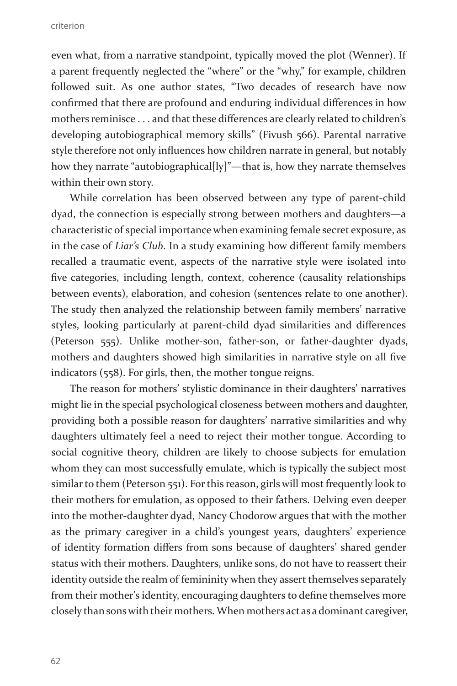criterion

even what, from a narrative standpoint, typically moved the plot (Wenner). If a parent frequently neglected the "where" or the "why," for example, children followed suit. As one author states, "Two decades of research have now confirmed that there are profound and enduring individual differences in how mothers reminisce . . . and that these differences are clearly related to children's developing autobiographical memory skills" (Fivush 566). Parental narrative style therefore not only influences how children narrate in general, but notably how they narrate "autobiographical[ly]"—that is, how they narrate themselves within their own story.

While correlation has been observed between any type of parent-child dyad, the connection is especially strong between mothers and daughters—a characteristic of special importance when examining female secret exposure, as in the case of *Liar's Club*. In a study examining how different family members recalled a traumatic event, aspects of the narrative style were isolated into five categories, including length, context, coherence (causality relationships between events), elaboration, and cohesion (sentences relate to one another). The study then analyzed the relationship between family members' narrative styles, looking particularly at parent-child dyad similarities and differences (Peterson 555). Unlike mother-son, father-son, or father-daughter dyads, mothers and daughters showed high similarities in narrative style on all five indicators (558). For girls, then, the mother tongue reigns.

The reason for mothers' stylistic dominance in their daughters' narratives might lie in the special psychological closeness between mothers and daughter, providing both a possible reason for daughters' narrative similarities and why daughters ultimately feel a need to reject their mother tongue. According to social cognitive theory, children are likely to choose subjects for emulation whom they can most successfully emulate, which is typically the subject most similar to them (Peterson 551). For this reason, girls will most frequently look to their mothers for emulation, as opposed to their fathers. Delving even deeper into the mother-daughter dyad, Nancy Chodorow argues that with the mother as the primary caregiver in a child's youngest years, daughters' experience of identity formation differs from sons because of daughters' shared gender status with their mothers. Daughters, unlike sons, do not have to reassert their identity outside the realm of femininity when they assert themselves separately from their mother's identity, encouraging daughters to define themselves more closely than sons with their mothers. When mothers act as a dominant caregiver,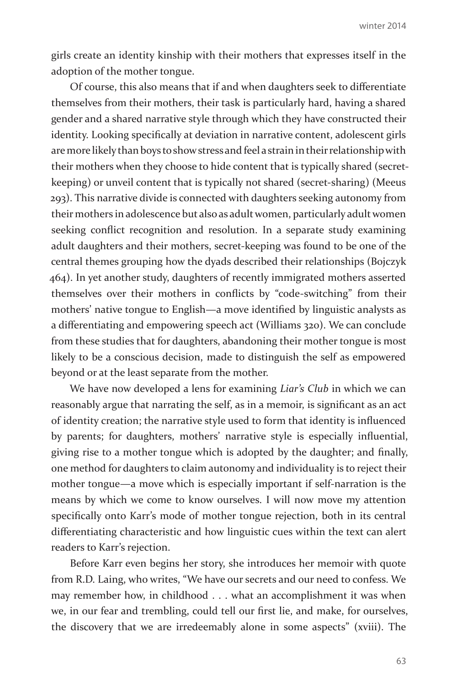girls create an identity kinship with their mothers that expresses itself in the adoption of the mother tongue.

Of course, this also means that if and when daughters seek to differentiate themselves from their mothers, their task is particularly hard, having a shared gender and a shared narrative style through which they have constructed their identity. Looking specifically at deviation in narrative content, adolescent girls are more likely than boys to show stress and feel a strain in their relationship with their mothers when they choose to hide content that is typically shared (secretkeeping) or unveil content that is typically not shared (secret-sharing) (Meeus 293). This narrative divide is connected with daughters seeking autonomy from their mothers in adolescence but also as adult women, particularly adult women seeking conflict recognition and resolution. In a separate study examining adult daughters and their mothers, secret-keeping was found to be one of the central themes grouping how the dyads described their relationships (Bojczyk 464). In yet another study, daughters of recently immigrated mothers asserted themselves over their mothers in conflicts by "code-switching" from their mothers' native tongue to English—a move identified by linguistic analysts as a differentiating and empowering speech act (Williams 320). We can conclude from these studies that for daughters, abandoning their mother tongue is most likely to be a conscious decision, made to distinguish the self as empowered beyond or at the least separate from the mother.

We have now developed a lens for examining *Liar's Club* in which we can reasonably argue that narrating the self, as in a memoir, is significant as an act of identity creation; the narrative style used to form that identity is influenced by parents; for daughters, mothers' narrative style is especially influential, giving rise to a mother tongue which is adopted by the daughter; and finally, one method for daughters to claim autonomy and individuality is to reject their mother tongue—a move which is especially important if self-narration is the means by which we come to know ourselves. I will now move my attention specifically onto Karr's mode of mother tongue rejection, both in its central differentiating characteristic and how linguistic cues within the text can alert readers to Karr's rejection.

Before Karr even begins her story, she introduces her memoir with quote from R.D. Laing, who writes, "We have our secrets and our need to confess. We may remember how, in childhood . . . what an accomplishment it was when we, in our fear and trembling, could tell our first lie, and make, for ourselves, the discovery that we are irredeemably alone in some aspects" (xviii). The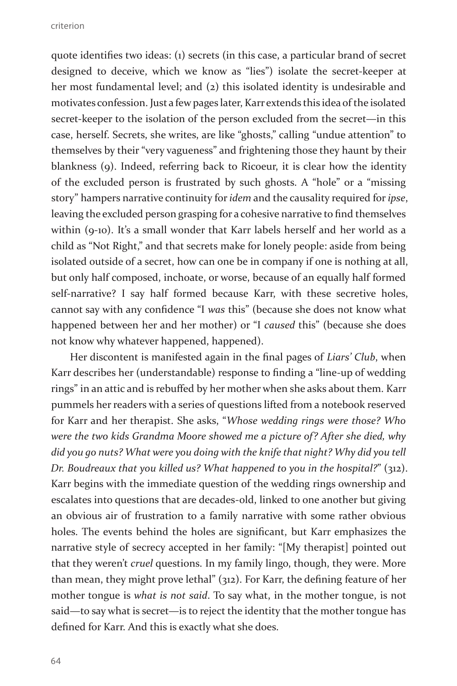quote identifies two ideas: (1) secrets (in this case, a particular brand of secret designed to deceive, which we know as "lies") isolate the secret-keeper at her most fundamental level; and (2) this isolated identity is undesirable and motivates confession. Just a few pages later, Karr extends this idea of the isolated secret-keeper to the isolation of the person excluded from the secret—in this case, herself. Secrets, she writes, are like "ghosts," calling "undue attention" to themselves by their "very vagueness" and frightening those they haunt by their blankness (9). Indeed, referring back to Ricoeur, it is clear how the identity of the excluded person is frustrated by such ghosts. A "hole" or a "missing story" hampers narrative continuity for *idem* and the causality required for *ipse*, leaving the excluded person grasping for a cohesive narrative to find themselves within (9-10). It's a small wonder that Karr labels herself and her world as a child as "Not Right," and that secrets make for lonely people: aside from being isolated outside of a secret, how can one be in company if one is nothing at all, but only half composed, inchoate, or worse, because of an equally half formed self-narrative? I say half formed because Karr, with these secretive holes, cannot say with any confidence "I *was* this" (because she does not know what happened between her and her mother) or "I *caused* this" (because she does not know why whatever happened, happened).

Her discontent is manifested again in the final pages of *Liars' Club*, when Karr describes her (understandable) response to finding a "line-up of wedding rings" in an attic and is rebuffed by her mother when she asks about them. Karr pummels her readers with a series of questions lifted from a notebook reserved for Karr and her therapist. She asks, "*Whose wedding rings were those? Who were the two kids Grandma Moore showed me a picture of? After she died, why did you go nuts? What were you doing with the knife that night? Why did you tell Dr. Boudreaux that you killed us? What happened to you in the hospital?*" (312). Karr begins with the immediate question of the wedding rings ownership and escalates into questions that are decades-old, linked to one another but giving an obvious air of frustration to a family narrative with some rather obvious holes. The events behind the holes are significant, but Karr emphasizes the narrative style of secrecy accepted in her family: "[My therapist] pointed out that they weren't *cruel* questions. In my family lingo, though, they were. More than mean, they might prove lethal" (312). For Karr, the defining feature of her mother tongue is *what is not said*. To say what, in the mother tongue, is not said—to say what is secret—is to reject the identity that the mother tongue has defined for Karr. And this is exactly what she does.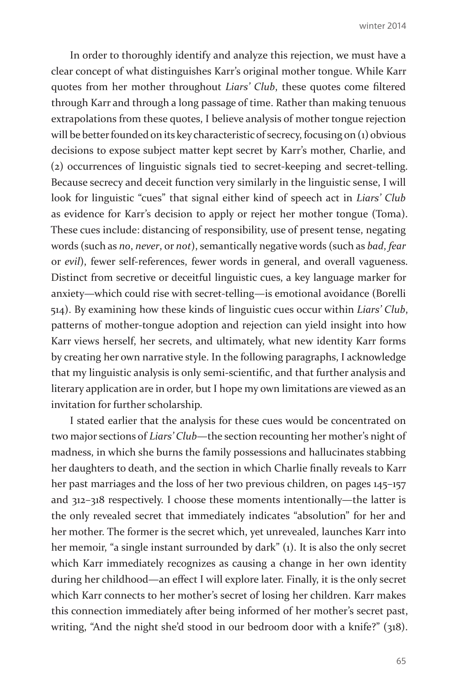In order to thoroughly identify and analyze this rejection, we must have a clear concept of what distinguishes Karr's original mother tongue. While Karr quotes from her mother throughout *Liars' Club*, these quotes come filtered through Karr and through a long passage of time. Rather than making tenuous extrapolations from these quotes, I believe analysis of mother tongue rejection will be better founded on its key characteristic of secrecy, focusing on (1) obvious decisions to expose subject matter kept secret by Karr's mother, Charlie, and (2) occurrences of linguistic signals tied to secret-keeping and secret-telling. Because secrecy and deceit function very similarly in the linguistic sense, I will look for linguistic "cues" that signal either kind of speech act in *Liars' Club* as evidence for Karr's decision to apply or reject her mother tongue (Toma). These cues include: distancing of responsibility, use of present tense, negating words (such as *no*, *never*, or *not*), semantically negative words (such as *bad*, *fear* or *evil*), fewer self-references, fewer words in general, and overall vagueness. Distinct from secretive or deceitful linguistic cues, a key language marker for anxiety—which could rise with secret-telling—is emotional avoidance (Borelli 514). By examining how these kinds of linguistic cues occur within *Liars' Club*, patterns of mother-tongue adoption and rejection can yield insight into how Karr views herself, her secrets, and ultimately, what new identity Karr forms by creating her own narrative style. In the following paragraphs, I acknowledge that my linguistic analysis is only semi-scientific, and that further analysis and literary application are in order, but I hope my own limitations are viewed as an invitation for further scholarship.

I stated earlier that the analysis for these cues would be concentrated on two major sections of *Liars' Club*—the section recounting her mother's night of madness, in which she burns the family possessions and hallucinates stabbing her daughters to death, and the section in which Charlie finally reveals to Karr her past marriages and the loss of her two previous children, on pages 145–157 and 312–318 respectively. I choose these moments intentionally—the latter is the only revealed secret that immediately indicates "absolution" for her and her mother. The former is the secret which, yet unrevealed, launches Karr into her memoir, "a single instant surrounded by dark" (1). It is also the only secret which Karr immediately recognizes as causing a change in her own identity during her childhood—an effect I will explore later. Finally, it is the only secret which Karr connects to her mother's secret of losing her children. Karr makes this connection immediately after being informed of her mother's secret past, writing, "And the night she'd stood in our bedroom door with a knife?" (318).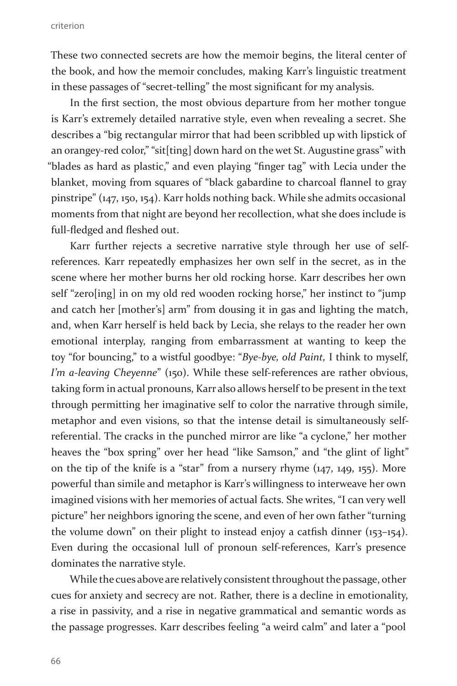These two connected secrets are how the memoir begins, the literal center of the book, and how the memoir concludes, making Karr's linguistic treatment in these passages of "secret-telling" the most significant for my analysis.

In the first section, the most obvious departure from her mother tongue is Karr's extremely detailed narrative style, even when revealing a secret. She describes a "big rectangular mirror that had been scribbled up with lipstick of an orangey-red color," "sit[ting] down hard on the wet St. Augustine grass" with "blades as hard as plastic," and even playing "finger tag" with Lecia under the blanket, moving from squares of "black gabardine to charcoal flannel to gray pinstripe" (147, 150, 154). Karr holds nothing back. While she admits occasional moments from that night are beyond her recollection, what she does include is full-fledged and fleshed out.

Karr further rejects a secretive narrative style through her use of selfreferences. Karr repeatedly emphasizes her own self in the secret, as in the scene where her mother burns her old rocking horse. Karr describes her own self "zero[ing] in on my old red wooden rocking horse," her instinct to "jump and catch her [mother's] arm" from dousing it in gas and lighting the match, and, when Karr herself is held back by Lecia, she relays to the reader her own emotional interplay, ranging from embarrassment at wanting to keep the toy "for bouncing," to a wistful goodbye: "*Bye-bye, old Paint,* I think to myself, *I'm a-leaving Cheyenne*" (150). While these self-references are rather obvious, taking form in actual pronouns, Karr also allows herself to be present in the text through permitting her imaginative self to color the narrative through simile, metaphor and even visions, so that the intense detail is simultaneously selfreferential. The cracks in the punched mirror are like "a cyclone," her mother heaves the "box spring" over her head "like Samson," and "the glint of light" on the tip of the knife is a "star" from a nursery rhyme (147, 149, 155). More powerful than simile and metaphor is Karr's willingness to interweave her own imagined visions with her memories of actual facts. She writes, "I can very well picture" her neighbors ignoring the scene, and even of her own father "turning the volume down" on their plight to instead enjoy a catfish dinner (153–154). Even during the occasional lull of pronoun self-references, Karr's presence dominates the narrative style.

While the cues above are relatively consistent throughout the passage, other cues for anxiety and secrecy are not. Rather, there is a decline in emotionality, a rise in passivity, and a rise in negative grammatical and semantic words as the passage progresses. Karr describes feeling "a weird calm" and later a "pool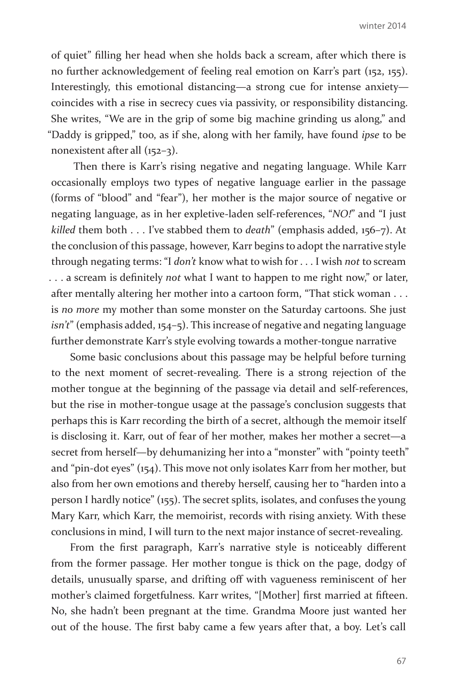of quiet" filling her head when she holds back a scream, after which there is no further acknowledgement of feeling real emotion on Karr's part (152, 155). Interestingly, this emotional distancing—a strong cue for intense anxiety coincides with a rise in secrecy cues via passivity, or responsibility distancing. She writes, "We are in the grip of some big machine grinding us along," and "Daddy is gripped," too, as if she, along with her family, have found *ipse* to be nonexistent after all (152–3).

 Then there is Karr's rising negative and negating language. While Karr occasionally employs two types of negative language earlier in the passage (forms of "blood" and "fear"), her mother is the major source of negative or negating language, as in her expletive-laden self-references, "*NO!*" and "I just *killed* them both . . . I've stabbed them to *death*" (emphasis added, 156–7). At the conclusion of this passage, however, Karr begins to adopt the narrative style through negating terms: "I *don't* know what to wish for . . . I wish *not* to scream . . . a scream is definitely *not* what I want to happen to me right now," or later, after mentally altering her mother into a cartoon form, "That stick woman . . . is *no more* my mother than some monster on the Saturday cartoons. She just *isn't*" (emphasis added, 154–5). This increase of negative and negating language further demonstrate Karr's style evolving towards a mother-tongue narrative

Some basic conclusions about this passage may be helpful before turning to the next moment of secret-revealing. There is a strong rejection of the mother tongue at the beginning of the passage via detail and self-references, but the rise in mother-tongue usage at the passage's conclusion suggests that perhaps this is Karr recording the birth of a secret, although the memoir itself is disclosing it. Karr, out of fear of her mother, makes her mother a secret—a secret from herself—by dehumanizing her into a "monster" with "pointy teeth" and "pin-dot eyes" (154). This move not only isolates Karr from her mother, but also from her own emotions and thereby herself, causing her to "harden into a person I hardly notice" (155). The secret splits, isolates, and confuses the young Mary Karr, which Karr, the memoirist, records with rising anxiety. With these conclusions in mind, I will turn to the next major instance of secret-revealing.

From the first paragraph, Karr's narrative style is noticeably different from the former passage. Her mother tongue is thick on the page, dodgy of details, unusually sparse, and drifting off with vagueness reminiscent of her mother's claimed forgetfulness. Karr writes, "[Mother] first married at fifteen. No, she hadn't been pregnant at the time. Grandma Moore just wanted her out of the house. The first baby came a few years after that, a boy. Let's call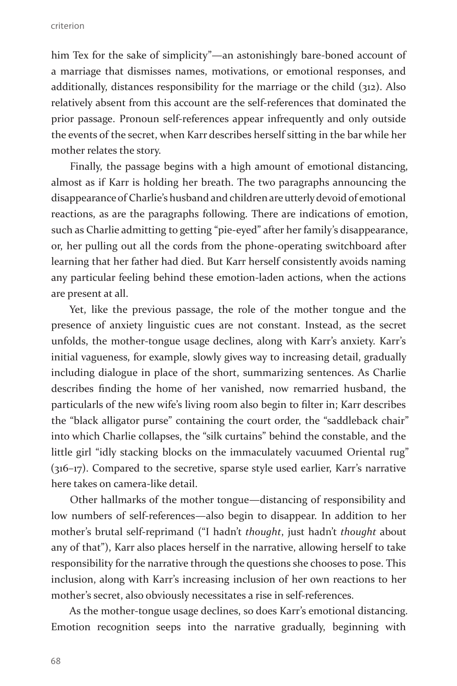criterion

him Tex for the sake of simplicity"—an astonishingly bare-boned account of a marriage that dismisses names, motivations, or emotional responses, and additionally, distances responsibility for the marriage or the child (312). Also relatively absent from this account are the self-references that dominated the prior passage. Pronoun self-references appear infrequently and only outside the events of the secret, when Karr describes herself sitting in the bar while her mother relates the story.

Finally, the passage begins with a high amount of emotional distancing, almost as if Karr is holding her breath. The two paragraphs announcing the disappearance of Charlie's husband and children are utterly devoid of emotional reactions, as are the paragraphs following. There are indications of emotion, such as Charlie admitting to getting "pie-eyed" after her family's disappearance, or, her pulling out all the cords from the phone-operating switchboard after learning that her father had died. But Karr herself consistently avoids naming any particular feeling behind these emotion-laden actions, when the actions are present at all.

Yet, like the previous passage, the role of the mother tongue and the presence of anxiety linguistic cues are not constant. Instead, as the secret unfolds, the mother-tongue usage declines, along with Karr's anxiety. Karr's initial vagueness, for example, slowly gives way to increasing detail, gradually including dialogue in place of the short, summarizing sentences. As Charlie describes finding the home of her vanished, now remarried husband, the particularls of the new wife's living room also begin to filter in; Karr describes the "black alligator purse" containing the court order, the "saddleback chair" into which Charlie collapses, the "silk curtains" behind the constable, and the little girl "idly stacking blocks on the immaculately vacuumed Oriental rug" (316–17). Compared to the secretive, sparse style used earlier, Karr's narrative here takes on camera-like detail.

Other hallmarks of the mother tongue—distancing of responsibility and low numbers of self-references—also begin to disappear. In addition to her mother's brutal self-reprimand ("I hadn't *thought*, just hadn't *thought* about any of that"), Karr also places herself in the narrative, allowing herself to take responsibility for the narrative through the questions she chooses to pose. This inclusion, along with Karr's increasing inclusion of her own reactions to her mother's secret, also obviously necessitates a rise in self-references.

As the mother-tongue usage declines, so does Karr's emotional distancing. Emotion recognition seeps into the narrative gradually, beginning with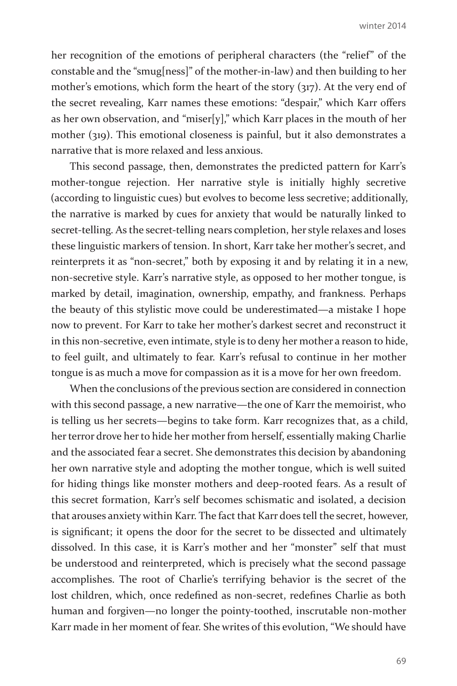her recognition of the emotions of peripheral characters (the "relief" of the constable and the "smug[ness]" of the mother-in-law) and then building to her mother's emotions, which form the heart of the story (317). At the very end of the secret revealing, Karr names these emotions: "despair," which Karr offers as her own observation, and "miser[y]," which Karr places in the mouth of her mother (319). This emotional closeness is painful, but it also demonstrates a narrative that is more relaxed and less anxious.

This second passage, then, demonstrates the predicted pattern for Karr's mother-tongue rejection. Her narrative style is initially highly secretive (according to linguistic cues) but evolves to become less secretive; additionally, the narrative is marked by cues for anxiety that would be naturally linked to secret-telling. As the secret-telling nears completion, her style relaxes and loses these linguistic markers of tension. In short, Karr take her mother's secret, and reinterprets it as "non-secret," both by exposing it and by relating it in a new, non-secretive style. Karr's narrative style, as opposed to her mother tongue, is marked by detail, imagination, ownership, empathy, and frankness. Perhaps the beauty of this stylistic move could be underestimated—a mistake I hope now to prevent. For Karr to take her mother's darkest secret and reconstruct it in this non-secretive, even intimate, style is to deny her mother a reason to hide, to feel guilt, and ultimately to fear. Karr's refusal to continue in her mother tongue is as much a move for compassion as it is a move for her own freedom.

When the conclusions of the previous section are considered in connection with this second passage, a new narrative—the one of Karr the memoirist, who is telling us her secrets—begins to take form. Karr recognizes that, as a child, her terror drove her to hide her mother from herself, essentially making Charlie and the associated fear a secret. She demonstrates this decision by abandoning her own narrative style and adopting the mother tongue, which is well suited for hiding things like monster mothers and deep-rooted fears. As a result of this secret formation, Karr's self becomes schismatic and isolated, a decision that arouses anxiety within Karr. The fact that Karr does tell the secret, however, is significant; it opens the door for the secret to be dissected and ultimately dissolved. In this case, it is Karr's mother and her "monster" self that must be understood and reinterpreted, which is precisely what the second passage accomplishes. The root of Charlie's terrifying behavior is the secret of the lost children, which, once redefined as non-secret, redefines Charlie as both human and forgiven—no longer the pointy-toothed, inscrutable non-mother Karr made in her moment of fear. She writes of this evolution, "We should have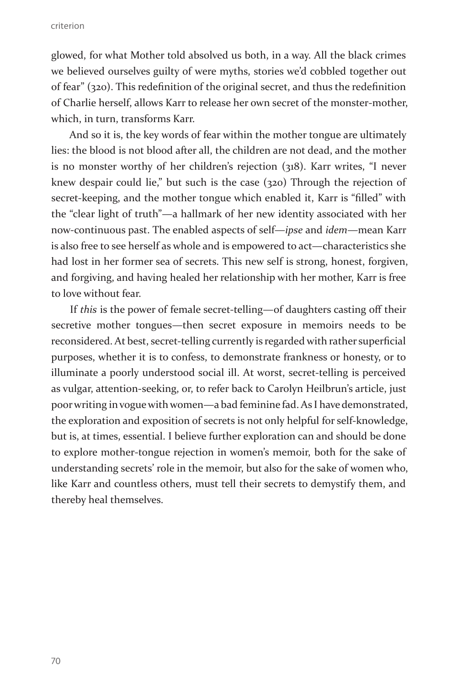glowed, for what Mother told absolved us both, in a way. All the black crimes we believed ourselves guilty of were myths, stories we'd cobbled together out of fear" (320). This redefinition of the original secret, and thus the redefinition of Charlie herself, allows Karr to release her own secret of the monster-mother, which, in turn, transforms Karr.

And so it is, the key words of fear within the mother tongue are ultimately lies: the blood is not blood after all, the children are not dead, and the mother is no monster worthy of her children's rejection (318). Karr writes, "I never knew despair could lie," but such is the case (320) Through the rejection of secret-keeping, and the mother tongue which enabled it, Karr is "filled" with the "clear light of truth"—a hallmark of her new identity associated with her now-continuous past. The enabled aspects of self—*ipse* and *idem*—mean Karr is also free to see herself as whole and is empowered to act—characteristics she had lost in her former sea of secrets. This new self is strong, honest, forgiven, and forgiving, and having healed her relationship with her mother, Karr is free to love without fear.

If *this* is the power of female secret-telling—of daughters casting off their secretive mother tongues—then secret exposure in memoirs needs to be reconsidered. At best, secret-telling currently is regarded with rather superficial purposes, whether it is to confess, to demonstrate frankness or honesty, or to illuminate a poorly understood social ill. At worst, secret-telling is perceived as vulgar, attention-seeking, or, to refer back to Carolyn Heilbrun's article, just poor writing in vogue with women—a bad feminine fad. As I have demonstrated, the exploration and exposition of secrets is not only helpful for self-knowledge, but is, at times, essential. I believe further exploration can and should be done to explore mother-tongue rejection in women's memoir, both for the sake of understanding secrets' role in the memoir, but also for the sake of women who, like Karr and countless others, must tell their secrets to demystify them, and thereby heal themselves.